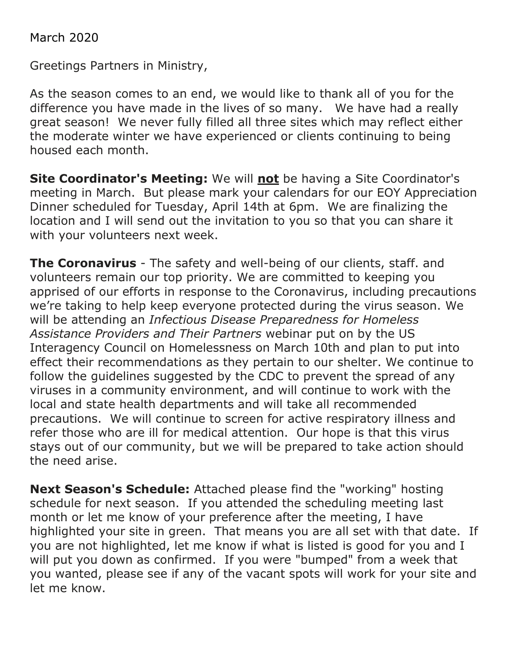March 2020

Greetings Partners in Ministry,

As the season comes to an end, we would like to thank all of you for the difference you have made in the lives of so many. We have had a really great season! We never fully filled all three sites which may reflect either the moderate winter we have experienced or clients continuing to being housed each month.

**Site Coordinator's Meeting:** We will **not** be having a Site Coordinator's meeting in March. But please mark your calendars for our EOY Appreciation Dinner scheduled for Tuesday, April 14th at 6pm. We are finalizing the location and I will send out the invitation to you so that you can share it with your volunteers next week.

**The Coronavirus** - The safety and well-being of our clients, staff. and volunteers remain our top priority. We are committed to keeping you apprised of our efforts in response to the Coronavirus, including precautions we're taking to help keep everyone protected during the virus season. We will be attending an *Infectious Disease Preparedness for Homeless Assistance Providers and Their Partners* webinar put on by the US Interagency Council on Homelessness on March 10th and plan to put into effect their recommendations as they pertain to our shelter. We continue to follow the guidelines suggested by the CDC to prevent the spread of any viruses in a community environment, and will continue to work with the local and state health departments and will take all recommended precautions. We will continue to screen for active respiratory illness and refer those who are ill for medical attention. Our hope is that this virus stays out of our community, but we will be prepared to take action should the need arise.

**Next Season's Schedule:** Attached please find the "working" hosting schedule for next season. If you attended the scheduling meeting last month or let me know of your preference after the meeting, I have highlighted your site in green. That means you are all set with that date. If you are not highlighted, let me know if what is listed is good for you and I will put you down as confirmed. If you were "bumped" from a week that you wanted, please see if any of the vacant spots will work for your site and let me know.